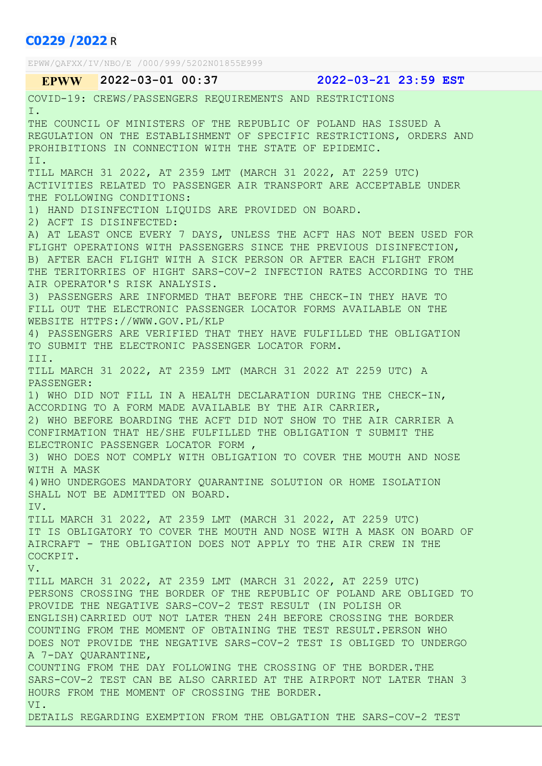# C0229 /2022 R

EPWW/QAFXX/IV/NBO/E /000/999/5202N01855E999 EPWW 2022-03-01 00:37 2022-03-21 23:59 EST COVID-19: CREWS/PASSENGERS REQUIREMENTS AND RESTRICTIONS I. THE COUNCIL OF MINISTERS OF THE REPUBLIC OF POLAND HAS ISSUED A REGULATION ON THE ESTABLISHMENT OF SPECIFIC RESTRICTIONS, ORDERS AND PROHIBITIONS IN CONNECTION WITH THE STATE OF EPIDEMIC. II. TILL MARCH 31 2022, AT 2359 LMT (MARCH 31 2022, AT 2259 UTC) ACTIVITIES RELATED TO PASSENGER AIR TRANSPORT ARE ACCEPTABLE UNDER THE FOLLOWING CONDITIONS: 1) HAND DISINFECTION LIQUIDS ARE PROVIDED ON BOARD. 2) ACFT IS DISINFECTED: A) AT LEAST ONCE EVERY 7 DAYS, UNLESS THE ACFT HAS NOT BEEN USED FOR FLIGHT OPERATIONS WITH PASSENGERS SINCE THE PREVIOUS DISINFECTION, B) AFTER EACH FLIGHT WITH A SICK PERSON OR AFTER EACH FLIGHT FROM THE TERITORRIES OF HIGHT SARS-COV-2 INFECTION RATES ACCORDING TO THE AIR OPERATOR'S RISK ANALYSIS. 3) PASSENGERS ARE INFORMED THAT BEFORE THE CHECK-IN THEY HAVE TO FILL OUT THE ELECTRONIC PASSENGER LOCATOR FORMS AVAILABLE ON THE WEBSITE HTTPS://WWW.GOV.PL/KLP 4) PASSENGERS ARE VERIFIED THAT THEY HAVE FULFILLED THE OBLIGATION TO SUBMIT THE ELECTRONIC PASSENGER LOCATOR FORM. III. TILL MARCH 31 2022, AT 2359 LMT (MARCH 31 2022 AT 2259 UTC) A PASSENGER: 1) WHO DID NOT FILL IN A HEALTH DECLARATION DURING THE CHECK-IN, ACCORDING TO A FORM MADE AVAILABLE BY THE AIR CARRIER, 2) WHO BEFORE BOARDING THE ACFT DID NOT SHOW TO THE AIR CARRIER A CONFIRMATION THAT HE/SHE FULFILLED THE OBLIGATION T SUBMIT THE ELECTRONIC PASSENGER LOCATOR FORM , 3) WHO DOES NOT COMPLY WITH OBLIGATION TO COVER THE MOUTH AND NOSE WITH A MASK 4)WHO UNDERGOES MANDATORY QUARANTINE SOLUTION OR HOME ISOLATION SHALL NOT BE ADMITTED ON BOARD. IV. TILL MARCH 31 2022, AT 2359 LMT (MARCH 31 2022, AT 2259 UTC) IT IS OBLIGATORY TO COVER THE MOUTH AND NOSE WITH A MASK ON BOARD OF AIRCRAFT - THE OBLIGATION DOES NOT APPLY TO THE AIR CREW IN THE COCKPIT. V. TILL MARCH 31 2022, AT 2359 LMT (MARCH 31 2022, AT 2259 UTC) PERSONS CROSSING THE BORDER OF THE REPUBLIC OF POLAND ARE OBLIGED TO PROVIDE THE NEGATIVE SARS-COV-2 TEST RESULT (IN POLISH OR ENGLISH)CARRIED OUT NOT LATER THEN 24H BEFORE CROSSING THE BORDER COUNTING FROM THE MOMENT OF OBTAINING THE TEST RESULT.PERSON WHO DOES NOT PROVIDE THE NEGATIVE SARS-COV-2 TEST IS OBLIGED TO UNDERGO A 7-DAY QUARANTINE, COUNTING FROM THE DAY FOLLOWING THE CROSSING OF THE BORDER.THE SARS-COV-2 TEST CAN BE ALSO CARRIED AT THE AIRPORT NOT LATER THAN 3 HOURS FROM THE MOMENT OF CROSSING THE BORDER. VI.

DETAILS REGARDING EXEMPTION FROM THE OBLGATION THE SARS-COV-2 TEST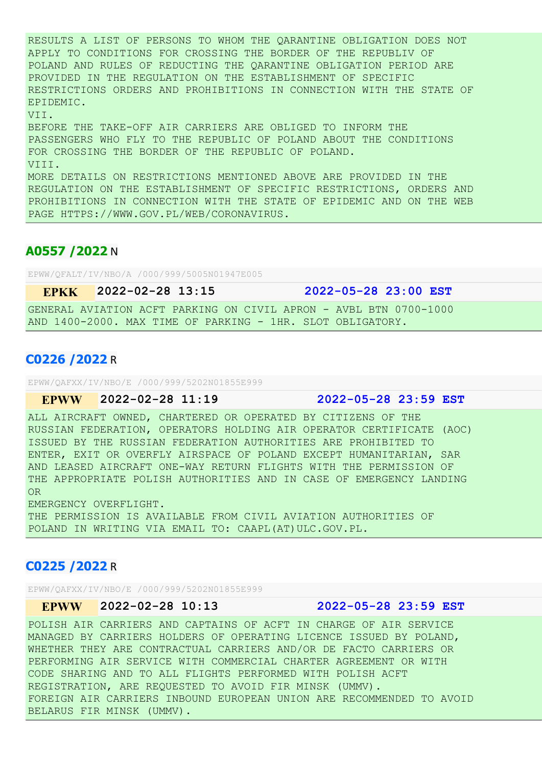RESULTS A LIST OF PERSONS TO WHOM THE QARANTINE OBLIGATION DOES NOT APPLY TO CONDITIONS FOR CROSSING THE BORDER OF THE REPUBLIV OF POLAND AND RULES OF REDUCTING THE QARANTINE OBLIGATION PERIOD ARE PROVIDED IN THE REGULATION ON THE ESTABLISHMENT OF SPECIFIC RESTRICTIONS ORDERS AND PROHIBITIONS IN CONNECTION WITH THE STATE OF EPIDEMIC. VII. BEFORE THE TAKE-OFF AIR CARRIERS ARE OBLIGED TO INFORM THE

PASSENGERS WHO FLY TO THE REPUBLIC OF POLAND ABOUT THE CONDITIONS FOR CROSSING THE BORDER OF THE REPUBLIC OF POLAND. VIII. MORE DETAILS ON RESTRICTIONS MENTIONED ABOVE ARE PROVIDED IN THE REGULATION ON THE ESTABLISHMENT OF SPECIFIC RESTRICTIONS, ORDERS AND PROHIBITIONS IN CONNECTION WITH THE STATE OF EPIDEMIC AND ON THE WEB PAGE HTTPS://WWW.GOV.PL/WEB/CORONAVIRUS.

# A0557 /2022 N

EPWW/QFALT/IV/NBO/A /000/999/5005N01947E005

EPKK 2022-02-28 13:15 2022-05-28 23:00 EST

GENERAL AVIATION ACFT PARKING ON CIVIL APRON - AVBL BTN 0700-1000 AND 1400-2000. MAX TIME OF PARKING - 1HR. SLOT OBLIGATORY.

### C0226 /2022 R

EPWW/QAFXX/IV/NBO/E /000/999/5202N01855E999

#### EPWW 2022-02-28 11:19 2022-05-28 23:59 EST

ALL AIRCRAFT OWNED, CHARTERED OR OPERATED BY CITIZENS OF THE RUSSIAN FEDERATION, OPERATORS HOLDING AIR OPERATOR CERTIFICATE (AOC) ISSUED BY THE RUSSIAN FEDERATION AUTHORITIES ARE PROHIBITED TO ENTER, EXIT OR OVERFLY AIRSPACE OF POLAND EXCEPT HUMANITARIAN, SAR AND LEASED AIRCRAFT ONE-WAY RETURN FLIGHTS WITH THE PERMISSION OF THE APPROPRIATE POLISH AUTHORITIES AND IN CASE OF EMERGENCY LANDING OR

EMERGENCY OVERFLIGHT.

THE PERMISSION IS AVAILABLE FROM CIVIL AVIATION AUTHORITIES OF POLAND IN WRITING VIA EMAIL TO: CAAPL(AT)ULC.GOV.PL.

### C0225 /2022 R

EPWW/QAFXX/IV/NBO/E /000/999/5202N01855E999

# EPWW 2022-02-28 10:13 2022-05-28 23:59 EST

POLISH AIR CARRIERS AND CAPTAINS OF ACFT IN CHARGE OF AIR SERVICE MANAGED BY CARRIERS HOLDERS OF OPERATING LICENCE ISSUED BY POLAND, WHETHER THEY ARE CONTRACTUAL CARRIERS AND/OR DE FACTO CARRIERS OR PERFORMING AIR SERVICE WITH COMMERCIAL CHARTER AGREEMENT OR WITH CODE SHARING AND TO ALL FLIGHTS PERFORMED WITH POLISH ACFT REGISTRATION, ARE REQUESTED TO AVOID FIR MINSK (UMMV). FOREIGN AIR CARRIERS INBOUND EUROPEAN UNION ARE RECOMMENDED TO AVOID BELARUS FIR MINSK (UMMV).